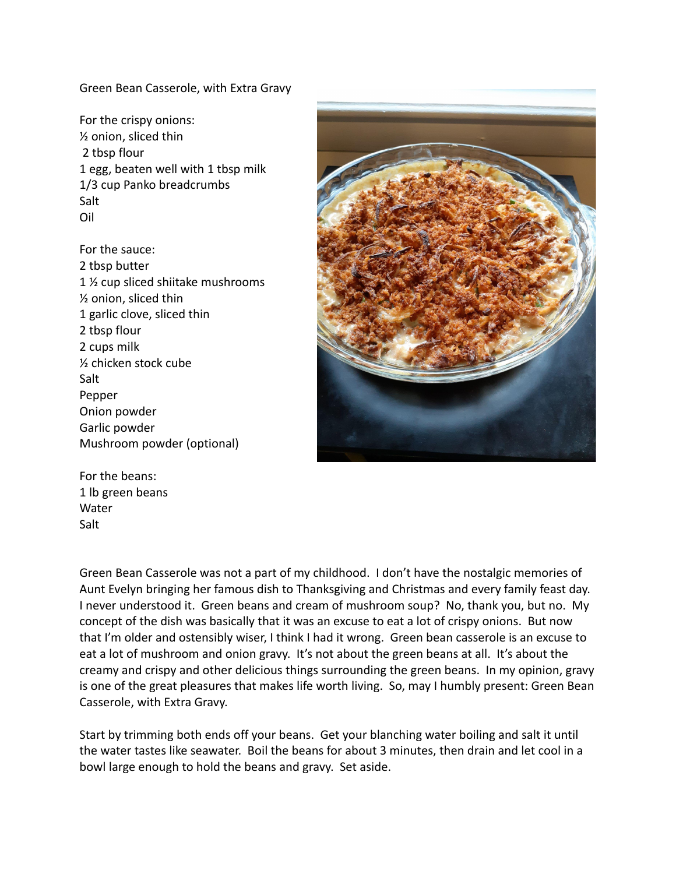Green Bean Casserole, with Extra Gravy

For the crispy onions: ½ onion, sliced thin 2 tbsp flour 1 egg, beaten well with 1 tbsp milk 1/3 cup Panko breadcrumbs Salt Oil

For the sauce: 2 tbsp butter 1 ½ cup sliced shiitake mushrooms ½ onion, sliced thin 1 garlic clove, sliced thin 2 tbsp flour 2 cups milk ½ chicken stock cube Salt Pepper Onion powder Garlic powder Mushroom powder (optional)



For the beans: 1 lb green beans Water Salt

Green Bean Casserole was not a part of my childhood. I don't have the nostalgic memories of Aunt Evelyn bringing her famous dish to Thanksgiving and Christmas and every family feast day. I never understood it. Green beans and cream of mushroom soup? No, thank you, but no. My concept of the dish was basically that it was an excuse to eat a lot of crispy onions. But now that I'm older and ostensibly wiser, I think I had it wrong. Green bean casserole is an excuse to eat a lot of mushroom and onion gravy. It's not about the green beans at all. It's about the creamy and crispy and other delicious things surrounding the green beans. In my opinion, gravy is one of the great pleasures that makes life worth living. So, may I humbly present: Green Bean Casserole, with Extra Gravy.

Start by trimming both ends off your beans. Get your blanching water boiling and salt it until the water tastes like seawater. Boil the beans for about 3 minutes, then drain and let cool in a bowl large enough to hold the beans and gravy. Set aside.